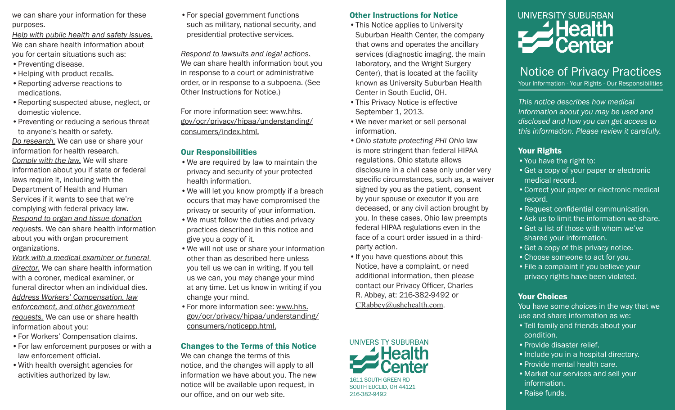we can share your information for these purposes.

*Help with public health and safety issues.* We can share health information about you for certain situations such as:

- Preventing disease.
- Helping with product recalls.
- •Reporting adverse reactions to medications.
- •Reporting suspected abuse, neglect, or domestic violence.
- •Preventing or reducing a serious threat to anyone's health or safety. *Do research.* We can use or share your information for health research. *Comply with the law.* We will share information about you if state or federal laws require it, including with the Department of Health and Human Services if it wants to see that we're complying with federal privacy law. *Respond to organ and tissue donation requests.* We can share health information about you with organ procurement organizations.
- *Work with a medical examiner or funeral director.* We can share health information with a coroner, medical examiner, or funeral director when an individual dies. *Address Workers' Compensation, law enforcement, and other government requests.* We can use or share health information about you:
- •For Workers' Compensation claims.
- •For law enforcement purposes or with a law enforcement official.
- •With health oversight agencies for activities authorized by law.

•For special government functions such as military, national security, and presidential protective services.

*Respond to lawsuits and legal actions.* We can share health information bout you in response to a court or administrative order, or in response to a subpoena. (See Other Instructions for Notice.)

For more information see: www.hhs. gov/ocr/privacy/hipaa/understanding/ consumers/index.html.

## Our Responsibilities

- •We are required by law to maintain the privacy and security of your protected health information.
- •We will let you know promptly if a breach occurs that may have compromised the privacy or security of your information.
- •We must follow the duties and privacy practices described in this notice and give you a copy of it.
- •We will not use or share your information other than as described here unless you tell us we can in writing. If you tell us we can, you may change your mind at any time. Let us know in writing if you change your mind.
- •For more information see: www.hhs. gov/ocr/privacy/hipaa/understanding/ consumers/noticepp.html.

# Changes to the Terms of this Notice

We can change the terms of this notice, and the changes will apply to all information we have about you. The new notice will be available upon request, in our office, and on our web site.

## Other Instructions for Notice

- •This Notice applies to University Suburban Health Center, the company that owns and operates the ancillary services (diagnostic imaging, the main laboratory, and the Wright Surgery Center), that is located at the facility known as University Suburban Health Center in South Euclid, OH.
- •This Privacy Notice is effective September 1, 2013.
- •We never market or sell personal information.
- *•Ohio statute protecting PHI Ohio* law is more stringent than federal HIPAA regulations. Ohio statute allows disclosure in a civil case only under very specific circumstances, such as, a waiver signed by you as the patient, consent by your spouse or executor if you are deceased, or any civil action brought by you. In these cases, Ohio law preempts federal HIPAA regulations even in the face of a court order issued in a thirdparty action.
- •If you have questions about this Notice, have a complaint, or need additional information, then please contact our Privacy Officer, Charles R. Abbey, at: 216-382-9492 or CRabbey@ushchealth.com.



1611 SOUTH GREEN RD SOUTH FUCLID, OH 44121 216-382-9492



# Notice of Privacy Practices

Your Information - Your Rights - Our Responsibilities

*This notice describes how medical information about you may be used and disclosed and how you can get access to this information. Please review it carefully.*

# Your Rights

- •You have the right to:
- •Get a copy of your paper or electronic medical record.
- •Correct your paper or electronic medical record.
- •Request confidential communication.
- •Ask us to limit the information we share.
- •Get a list of those with whom we've shared your information.
- •Get a copy of this privacy notice.
- •Choose someone to act for you.
- •File a complaint if you believe your privacy rights have been violated.

# Your Choices

You have some choices in the way that we use and share information as we:

- •Tell family and friends about your condition.
- •Provide disaster relief.
- Include you in a hospital directory.
- •Provide mental health care.
- Market our services and sell your information.
- •Raise funds.